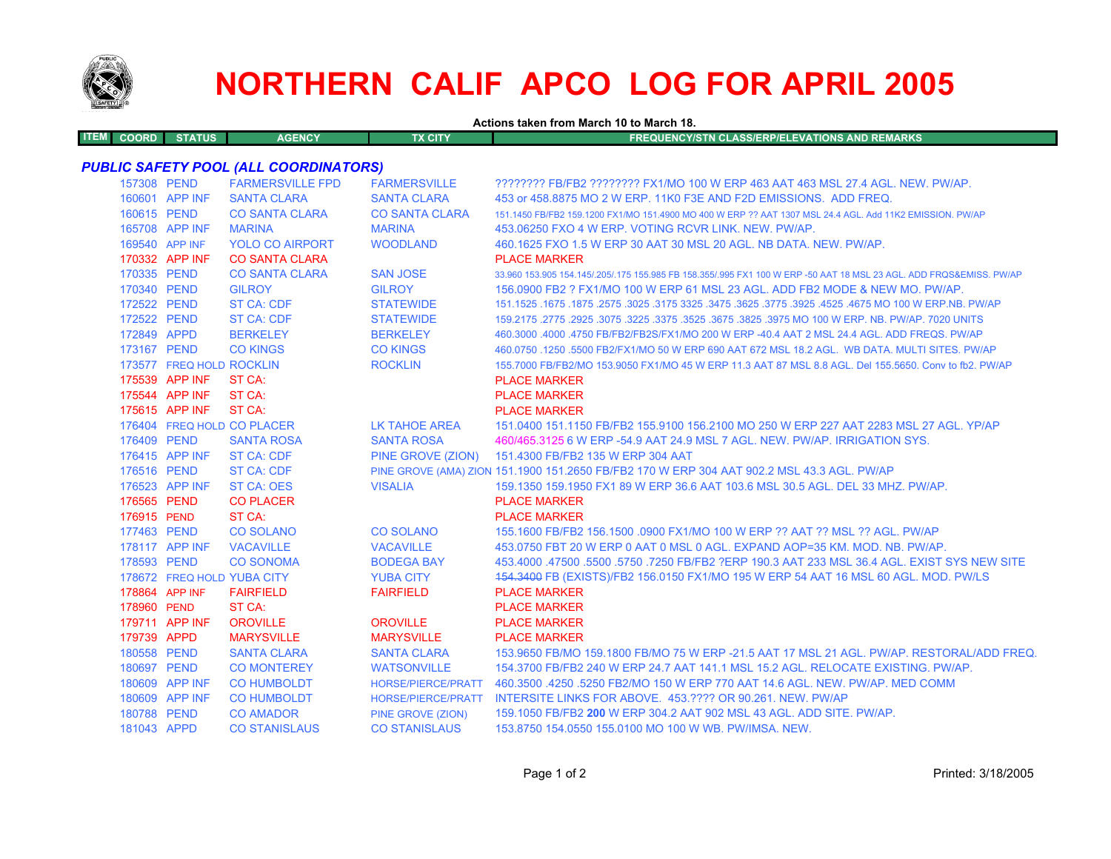

# **NORTHERN CALIF APCO LOG FOR APRIL 2005**

**Actions taken from March 10 to March 18.**

| ITEM COORD | <b>STATUS</b> | <b>AGENCY</b> | TX CITY | <b>LEREQUENCY/STN CLASS/ERP/ELEVATIONS AND REMARKS '</b> |
|------------|---------------|---------------|---------|----------------------------------------------------------|
|            |               |               |         |                                                          |

## *PUBLIC SAFETY POOL (ALL COORDINATORS)*

| 157308 PEND              | <b>FARMERSVILLE FPD</b>    | <b>FARMERSVILLE</b>       | ???????? FB/FB2 ???????? FX1/MO 100 W ERP 463 AAT 463 MSL 27.4 AGL. NEW. PW/AP.                                     |
|--------------------------|----------------------------|---------------------------|---------------------------------------------------------------------------------------------------------------------|
| 160601 APP INF           | <b>SANTA CLARA</b>         | <b>SANTA CLARA</b>        | 453 or 458,8875 MO 2 W ERP, 11K0 F3E AND F2D EMISSIONS. ADD FREQ.                                                   |
| 160615 PEND              | <b>CO SANTA CLARA</b>      | <b>CO SANTA CLARA</b>     | 151.1450 FB/FB2 159.1200 FX1/MO 151.4900 MO 400 W ERP ?? AAT 1307 MSL 24.4 AGL. Add 11K2 EMISSION, PW/AP            |
| 165708 APP INF           | <b>MARINA</b>              | <b>MARINA</b>             | 453.06250 FXO 4 W ERP. VOTING RCVR LINK, NEW, PW/AP.                                                                |
| 169540 APP INF           | <b>YOLO CO AIRPORT</b>     | <b>WOODLAND</b>           | 460.1625 FXO 1.5 W ERP 30 AAT 30 MSL 20 AGL. NB DATA. NEW. PW/AP.                                                   |
| 170332 APP INF           | <b>CO SANTA CLARA</b>      |                           | <b>PLACE MARKER</b>                                                                                                 |
| 170335 PEND              | <b>CO SANTA CLARA</b>      | <b>SAN JOSE</b>           | 33.960 153.905 154.145/.205/.175 155.985 FB 158.355/.995 FX1 100 W ERP -50 AAT 18 MSL 23 AGL. ADD FRQS&EMISS. PW/AP |
| 170340 PEND              | <b>GILROY</b>              | <b>GILROY</b>             | 156,0900 FB2 ? FX1/MO 100 W ERP 61 MSL 23 AGL, ADD FB2 MODE & NEW MO, PW/AP.                                        |
| 172522 PEND              | <b>ST CA: CDF</b>          | <b>STATEWIDE</b>          | 151.1525 .1675 .1875 .2575 .3025 .3175 3325 .3475 .3625 .3775 .3925 .4525 .4675 MO 100 W ERP.NB. PW/AP              |
| 172522 PEND              | <b>ST CA: CDF</b>          | <b>STATEWIDE</b>          | 159.2175 .2775 .2925 .3075 .3225 .3375 .3525 .3675 .3825 .3975 MO 100 W ERP. NB. PW/AP. 7020 UNITS                  |
| 172849 APPD              | <b>BERKELEY</b>            | <b>BERKELEY</b>           | 460.3000 .4000 .4750 FB/FB2/FB2S/FX1/MO 200 W ERP -40.4 AAT 2 MSL 24.4 AGL. ADD FREQS. PW/AP                        |
| 173167 PEND              | <b>CO KINGS</b>            | <b>CO KINGS</b>           | 460.0750 .1250 .5500 FB2/FX1/MO 50 W ERP 690 AAT 672 MSL 18.2 AGL. WB DATA, MULTI SITES, PW/AP                      |
| 173577 FREQ HOLD ROCKLIN |                            | <b>ROCKLIN</b>            | 155.7000 FB/FB2/MO 153.9050 FX1/MO 45 W ERP 11.3 AAT 87 MSL 8.8 AGL. Del 155.5650. Conv to fb2. PW/AP               |
| 175539 APP INF           | ST CA:                     |                           | <b>PLACE MARKER</b>                                                                                                 |
| 175544 APP INF           | ST CA:                     |                           | <b>PLACE MARKER</b>                                                                                                 |
| 175615 APP INF           | ST CA:                     |                           | <b>PLACE MARKER</b>                                                                                                 |
|                          | 176404 FREQ HOLD CO PLACER | LK TAHOE AREA             | 151,0400 151,1150 FB/FB2 155,9100 156,2100 MO 250 W ERP 227 AAT 2283 MSL 27 AGL, YP/AP                              |
| 176409 PEND              | <b>SANTA ROSA</b>          | <b>SANTA ROSA</b>         | 460/465.3125 6 W ERP -54.9 AAT 24.9 MSL 7 AGL. NEW. PW/AP. IRRIGATION SYS.                                          |
| 176415 APP INF           | <b>ST CA: CDF</b>          |                           | PINE GROVE (ZION) 151.4300 FB/FB2 135 W ERP 304 AAT                                                                 |
| 176516 PEND              | <b>ST CA: CDF</b>          |                           | PINE GROVE (AMA) ZION 151.1900 151.2650 FB/FB2 170 W ERP 304 AAT 902.2 MSL 43.3 AGL. PW/AP                          |
| 176523 APP INF           | ST CA: OES                 | <b>VISALIA</b>            | 159.1350 159.1950 FX1 89 W ERP 36.6 AAT 103.6 MSL 30.5 AGL. DEL 33 MHZ. PW/AP.                                      |
| 176565 PEND              | <b>CO PLACER</b>           |                           | <b>PLACE MARKER</b>                                                                                                 |
| 176915 PEND              | ST CA:                     |                           | <b>PLACE MARKER</b>                                                                                                 |
| 177463 PEND              | <b>CO SOLANO</b>           | <b>CO SOLANO</b>          | 155.1600 FB/FB2 156.1500 .0900 FX1/MO 100 W ERP ?? AAT ?? MSL ?? AGL. PW/AP                                         |
| 178117 APP INF           | <b>VACAVILLE</b>           | <b>VACAVILLE</b>          | 453.0750 FBT 20 W ERP 0 AAT 0 MSL 0 AGL, EXPAND AOP=35 KM, MOD, NB, PW/AP,                                          |
| 178593 PEND              | <b>CO SONOMA</b>           | <b>BODEGA BAY</b>         | 453,4000 .47500 .5500 .5750 .7250 FB/FB2 ?ERP 190.3 AAT 233 MSL 36.4 AGL. EXIST SYS NEW SITE                        |
|                          | 178672 FREQ HOLD YUBA CITY | <b>YUBA CITY</b>          | 454.3400 FB (EXISTS)/FB2 156.0150 FX1/MO 195 W ERP 54 AAT 16 MSL 60 AGL. MOD. PW/LS                                 |
| 178864 APP INF           | <b>FAIRFIELD</b>           | <b>FAIRFIELD</b>          | <b>PLACE MARKER</b>                                                                                                 |
| 178960 PEND              | ST CA:                     |                           | <b>PLACE MARKER</b>                                                                                                 |
| 179711 APP INF           | <b>OROVILLE</b>            | <b>OROVILLE</b>           | <b>PLACE MARKER</b>                                                                                                 |
| 179739 APPD              | <b>MARYSVILLE</b>          | <b>MARYSVILLE</b>         | <b>PLACE MARKER</b>                                                                                                 |
| 180558 PEND              | <b>SANTA CLARA</b>         | <b>SANTA CLARA</b>        | 153,9650 FB/MO 159,1800 FB/MO 75 W ERP -21.5 AAT 17 MSL 21 AGL, PW/AP, RESTORAL/ADD FREQ                            |
| 180697 PEND              | <b>CO MONTEREY</b>         | <b>WATSONVILLE</b>        | 154.3700 FB/FB2 240 W ERP 24.7 AAT 141.1 MSL 15.2 AGL. RELOCATE EXISTING. PW/AP.                                    |
| 180609 APP INF           | <b>CO HUMBOLDT</b>         | <b>HORSE/PIERCE/PRATT</b> | 460.3500 .4250 .5250 FB2/MO 150 W ERP 770 AAT 14.6 AGL. NEW. PW/AP. MED COMM                                        |
| 180609 APP INF           | <b>CO HUMBOLDT</b>         |                           | HORSE/PIERCE/PRATT INTERSITE LINKS FOR ABOVE, 453.???? OR 90.261, NEW, PW/AP                                        |
| 180788 PEND              | <b>CO AMADOR</b>           | PINE GROVE (ZION)         | 159.1050 FB/FB2 200 W ERP 304.2 AAT 902 MSL 43 AGL. ADD SITE. PW/AP.                                                |
| 181043 APPD              | <b>CO STANISLAUS</b>       | <b>CO STANISLAUS</b>      | 153.8750 154.0550 155.0100 MO 100 W WB, PW/IMSA, NEW.                                                               |